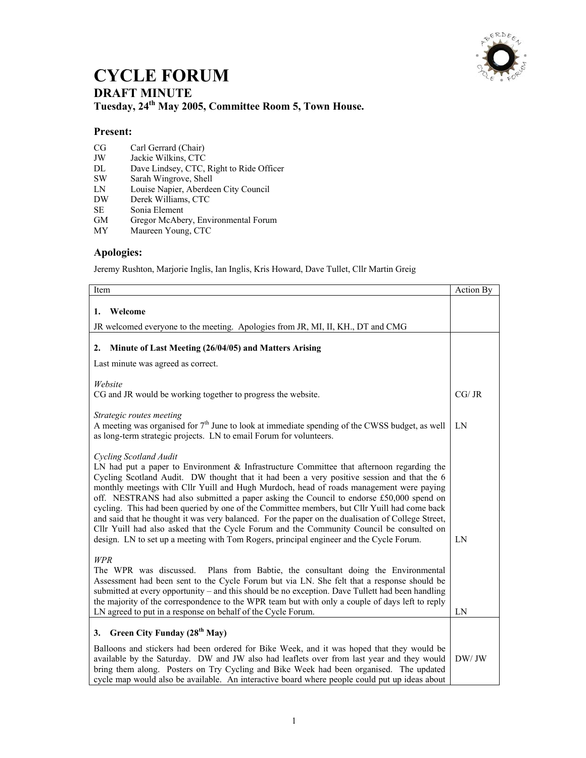

## **CYCLE FORUM DRAFT MINUTE Tuesday, 24th May 2005, Committee Room 5, Town House.**

## **Present:**

- CG Carl Gerrard (Chair)<br>JW Jackie Wilkins, CTC
- JW Jackie Wilkins, CTC<br>DL Dave Lindsey, CTC,
- DL Dave Lindsey, CTC, Right to Ride Officer<br>SW Sarah Wingrove, Shell
- Sarah Wingrove, Shell
- LN Louise Napier, Aberdeen City Council
- Derek Williams, CTC
- SE Sonia Element<br>GM Gregor McAbe
- Gregor McAbery, Environmental Forum
- MY Maureen Young, CTC

## **Apologies:**

Jeremy Rushton, Marjorie Inglis, Ian Inglis, Kris Howard, Dave Tullet, Cllr Martin Greig

| Item                                                                                                                                                                                                                                                                                                                                                                                                                                                                                                                                                                                                                                                                                                                                                                                                    | Action By |
|---------------------------------------------------------------------------------------------------------------------------------------------------------------------------------------------------------------------------------------------------------------------------------------------------------------------------------------------------------------------------------------------------------------------------------------------------------------------------------------------------------------------------------------------------------------------------------------------------------------------------------------------------------------------------------------------------------------------------------------------------------------------------------------------------------|-----------|
| 1. Welcome                                                                                                                                                                                                                                                                                                                                                                                                                                                                                                                                                                                                                                                                                                                                                                                              |           |
| JR welcomed everyone to the meeting. Apologies from JR, MI, II, KH., DT and CMG                                                                                                                                                                                                                                                                                                                                                                                                                                                                                                                                                                                                                                                                                                                         |           |
| Minute of Last Meeting (26/04/05) and Matters Arising<br>2.                                                                                                                                                                                                                                                                                                                                                                                                                                                                                                                                                                                                                                                                                                                                             |           |
| Last minute was agreed as correct.                                                                                                                                                                                                                                                                                                                                                                                                                                                                                                                                                                                                                                                                                                                                                                      |           |
|                                                                                                                                                                                                                                                                                                                                                                                                                                                                                                                                                                                                                                                                                                                                                                                                         |           |
| Website<br>CG and JR would be working together to progress the website.                                                                                                                                                                                                                                                                                                                                                                                                                                                                                                                                                                                                                                                                                                                                 | CG/ JR    |
| Strategic routes meeting<br>A meeting was organised for $7th$ June to look at immediate spending of the CWSS budget, as well<br>as long-term strategic projects. LN to email Forum for volunteers.                                                                                                                                                                                                                                                                                                                                                                                                                                                                                                                                                                                                      | LN        |
| Cycling Scotland Audit<br>LN had put a paper to Environment $\&$ Infrastructure Committee that afternoon regarding the<br>Cycling Scotland Audit. DW thought that it had been a very positive session and that the 6<br>monthly meetings with Cllr Yuill and Hugh Murdoch, head of roads management were paying<br>off. NESTRANS had also submitted a paper asking the Council to endorse £50,000 spend on<br>cycling. This had been queried by one of the Committee members, but Cllr Yuill had come back<br>and said that he thought it was very balanced. For the paper on the dualisation of College Street,<br>Cllr Yuill had also asked that the Cycle Forum and the Community Council be consulted on<br>design. LN to set up a meeting with Tom Rogers, principal engineer and the Cycle Forum. | LN        |
| WPR<br>Plans from Babtie, the consultant doing the Environmental<br>The WPR was discussed.<br>Assessment had been sent to the Cycle Forum but via LN. She felt that a response should be<br>submitted at every opportunity - and this should be no exception. Dave Tullett had been handling<br>the majority of the correspondence to the WPR team but with only a couple of days left to reply<br>LN agreed to put in a response on behalf of the Cycle Forum.                                                                                                                                                                                                                                                                                                                                         | LN        |
| Green City Funday (28 <sup>th</sup> May)<br>3.                                                                                                                                                                                                                                                                                                                                                                                                                                                                                                                                                                                                                                                                                                                                                          |           |
| Balloons and stickers had been ordered for Bike Week, and it was hoped that they would be<br>available by the Saturday. DW and JW also had leaflets over from last year and they would<br>bring them along. Posters on Try Cycling and Bike Week had been organised. The updated<br>cycle map would also be available. An interactive board where people could put up ideas about                                                                                                                                                                                                                                                                                                                                                                                                                       | DW/JW     |